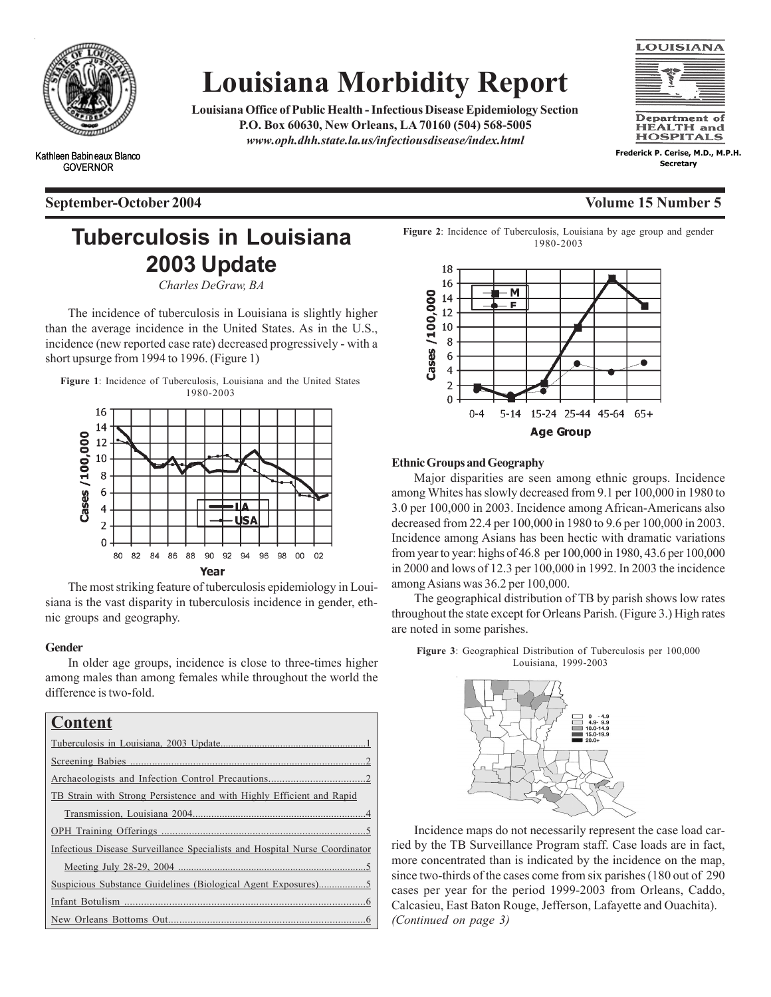

Kathleen Babineaux Blanco GOVERNOR

# **Louisiana Morbidity Report**

**Louisiana Office of Public Health - Infectious Disease Epidemiology Section P.O. Box 60630, New Orleans, LA 70160 (504) 568-5005** *www.oph.dhh.state.la.us/infectiousdisease/index.html*



**Frederick P. Cerise, M.D., M.P.H. Secretary**

## **Tuberculosis in Louisiana 2003 Update**

*Charles DeGraw, BA*

The incidence of tuberculosis in Louisiana is slightly higher than the average incidence in the United States. As in the U.S., incidence (new reported case rate) decreased progressively - with a short upsurge from 1994 to 1996. (Figure 1)

**Figure 1**: Incidence of Tuberculosis, Louisiana and the United States 1980-2003



The most striking feature of tuberculosis epidemiology in Louisiana is the vast disparity in tuberculosis incidence in gender, ethnic groups and geography.

### **Gender**

In older age groups, incidence is close to three-times higher among males than among females while throughout the world the difference is two-fold.

## **Content**

| TB Strain with Strong Persistence and with Highly Efficient and Rapid      |
|----------------------------------------------------------------------------|
|                                                                            |
|                                                                            |
| Infectious Disease Surveillance Specialists and Hospital Nurse Coordinator |
|                                                                            |
|                                                                            |
|                                                                            |
|                                                                            |

**Figure 2**: Incidence of Tuberculosis, Louisiana by age group and gender 1980-2003



### **Ethnic Groups and Geography**

Major disparities are seen among ethnic groups. Incidence among Whites has slowly decreased from 9.1 per 100,000 in 1980 to 3.0 per 100,000 in 2003. Incidence among African-Americans also decreased from 22.4 per 100,000 in 1980 to 9.6 per 100,000 in 2003. Incidence among Asians has been hectic with dramatic variations from year to year: highs of 46.8 per 100,000 in 1980, 43.6 per 100,000 in 2000 and lows of 12.3 per 100,000 in 1992. In 2003 the incidence among Asians was 36.2 per 100,000.

The geographical distribution of TB by parish shows low rates throughout the state except for Orleans Parish. (Figure 3.) High rates are noted in some parishes.

**Figure 3**: Geographical Distribution of Tuberculosis per 100,000



*(Continued on page 3)* Incidence maps do not necessarily represent the case load carried by the TB Surveillance Program staff. Case loads are in fact, more concentrated than is indicated by the incidence on the map, since two-thirds of the cases come from six parishes (180 out of 290 cases per year for the period 1999-2003 from Orleans, Caddo, Calcasieu, East Baton Rouge, Jefferson, Lafayette and Ouachita).

### **September-October 2004 Volume 15 Number 5**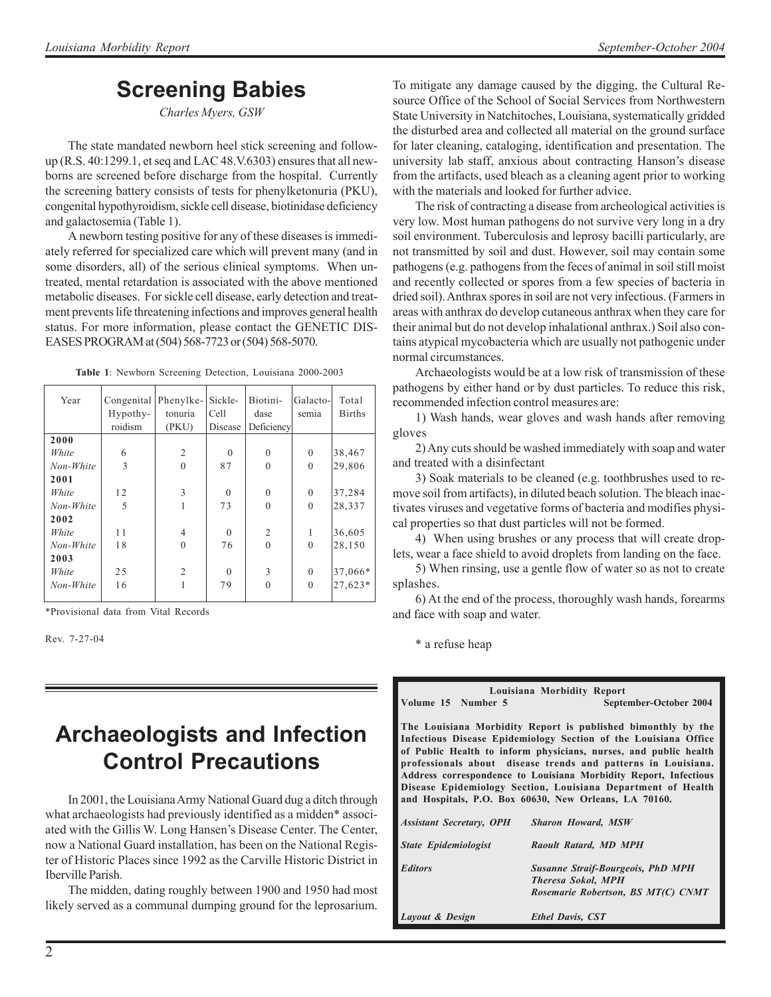## **Screening Babies**

*Charles Myers, GSW*

The state mandated newborn heel stick screening and followup (R.S. 40:1299.1, et seq and LAC 48.V.6303) ensures that all newborns are screened before discharge from the hospital. Currently the screening battery consists of tests for phenylketonuria (PKU), congenital hypothyroidism, sickle cell disease, biotinidase deficiency and galactosemia (Table 1).

A newborn testing positive for any of these diseases is immediately referred for specialized care which will prevent many (and in some disorders, all) of the serious clinical symptoms. When untreated, mental retardation is associated with the above mentioned metabolic diseases. For sickle cell disease, early detection and treatment prevents life threatening infections and improves general health status. For more information, please contact the GENETIC DIS-EASES PROGRAM at (504) 568-7723 or (504) 568-5070.

| Year      | Congenital Phenylke- |                | Sickle-  | Biotini-       | Galacto-     | Total         |
|-----------|----------------------|----------------|----------|----------------|--------------|---------------|
|           | Hypothy-             | tonuria        | Cell     | dase           | semia        | <b>Births</b> |
|           | roidism              | (PKU)          | Disease  | Deficiency     |              |               |
| 2000      |                      |                |          |                |              |               |
| White     | 6                    | $\overline{2}$ | $\Omega$ | $\theta$       | $\mathbf{0}$ | 38,467        |
| Non-White | 3                    | $\theta$       | 87       | $\theta$       | $\theta$     | 29,806        |
| 2001      |                      |                |          |                |              |               |
| White     | 12                   | 3              | $\Omega$ | $\theta$       | $\theta$     | 37,284        |
| Non-White | 5                    |                | 73       | $\theta$       | $\theta$     | 28,337        |
| 2002      |                      |                |          |                |              |               |
| White     | 11                   | $\overline{4}$ | $\theta$ | $\overline{2}$ | 1            | 36,605        |
| Non-White | 18                   | $\theta$       | 76       | $\theta$       | $\Omega$     | 28,150        |
| 2003      |                      |                |          |                |              |               |
| White     | 25                   | $\overline{2}$ | $\Omega$ | 3              | $\mathbf{0}$ | 37,066*       |
| Non-White | 16                   |                | 79       | $\theta$       | $\Omega$     | 27,623*       |
|           |                      |                |          |                |              |               |

**Table 1**: Newborn Screening Detection, Louisiana 2000-2003

\*Provisional data from Vital Records

Rev. 7-27-04

## **Archaeologists and Infection Control Precautions**

In 2001, the Louisiana Army National Guard dug a ditch through what archaeologists had previously identified as a midden\* associated with the Gillis W. Long Hansen's Disease Center. The Center, now a National Guard installation, has been on the National Register of Historic Places since 1992 as the Carville Historic District in Iberville Parish.

The midden, dating roughly between 1900 and 1950 had most likely served as a communal dumping ground for the leprosarium.

To mitigate any damage caused by the digging, the Cultural Resource Office of the School of Social Services from Northwestern State University in Natchitoches, Louisiana, systematically gridded the disturbed area and collected all material on the ground surface for later cleaning, cataloging, identification and presentation. The university lab staff, anxious about contracting Hanson's disease from the artifacts, used bleach as a cleaning agent prior to working with the materials and looked for further advice.

The risk of contracting a disease from archeological activities is very low. Most human pathogens do not survive very long in a dry soil environment. Tuberculosis and leprosy bacilli particularly, are not transmitted by soil and dust. However, soil may contain some pathogens (e.g. pathogens from the feces of animal in soil still moist and recently collected or spores from a few species of bacteria in dried soil). Anthrax spores in soil are not very infectious. (Farmers in areas with anthrax do develop cutaneous anthrax when they care for their animal but do not develop inhalational anthrax.) Soil also contains atypical mycobacteria which are usually not pathogenic under normal circumstances.

Archaeologists would be at a low risk of transmission of these pathogens by either hand or by dust particles. To reduce this risk, recommended infection control measures are:

1) Wash hands, wear gloves and wash hands after removing gloves

2) Any cuts should be washed immediately with soap and water and treated with a disinfectant

3) Soak materials to be cleaned (e.g. toothbrushes used to remove soil from artifacts), in diluted beach solution. The bleach inactivates viruses and vegetative forms of bacteria and modifies physical properties so that dust particles will not be formed.

4) When using brushes or any process that will create droplets, wear a face shield to avoid droplets from landing on the face.

5) When rinsing, use a gentle flow of water so as not to create splashes.

6) At the end of the process, thoroughly wash hands, forearms and face with soap and water.

\* a refuse heap

**Louisiana Morbidity Report**

**Volume 15 Number 5 September-October 2004**

**The Louisiana Morbidity Report is published bimonthly by the Infectious Disease Epidemiology Section of the Louisiana Office of Public Health to inform physicians, nurses, and public health professionals about disease trends and patterns in Louisiana. Address correspondence to Louisiana Morbidity Report, Infectious Disease Epidemiology Section, Louisiana Department of Health and Hospitals, P.O. Box 60630, New Orleans, LA 70160.**

| <b>Assistant Secretary, OPH</b> | <b>Sharon Howard, MSW</b>                                                                                   |
|---------------------------------|-------------------------------------------------------------------------------------------------------------|
| <b>State Epidemiologist</b>     | Raoult Ratard, MD MPH                                                                                       |
| <b>Editors</b>                  | <b>Susanne Straif-Bourgeois, PhD MPH</b><br><b>Theresa Sokol, MPH</b><br>Rosemarie Robertson, BS MT(C) CNMT |
| Layout & Design                 | <b>Ethel Davis, CST</b>                                                                                     |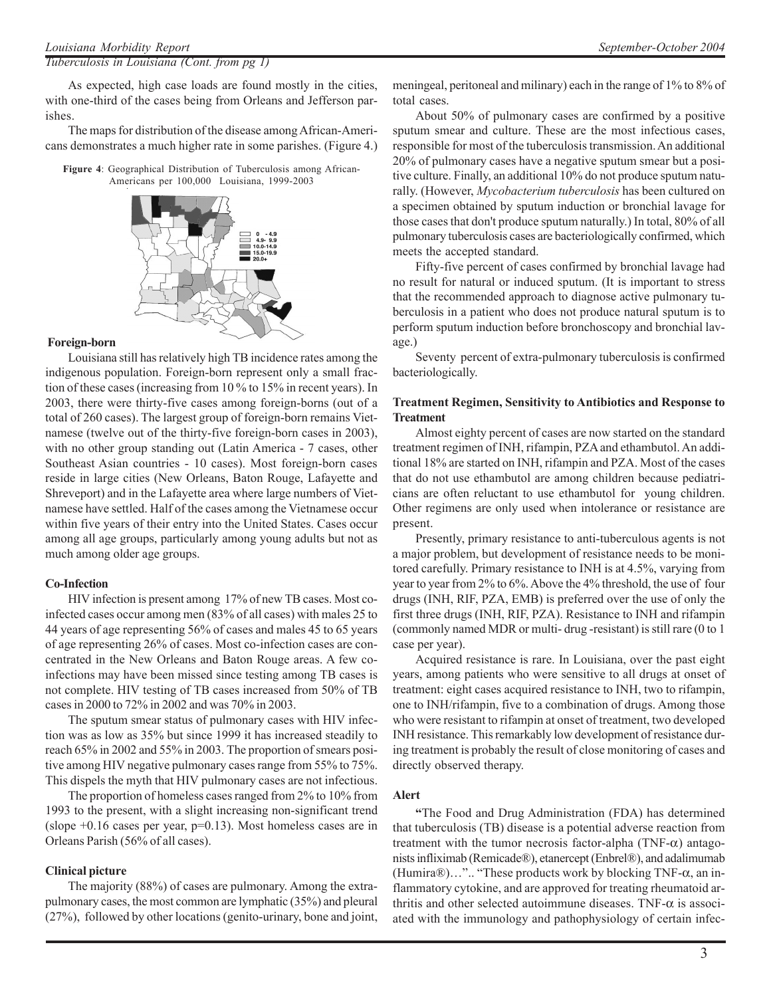#### *Tuberculosis in Louisiana (Cont. from pg 1)*

As expected, high case loads are found mostly in the cities, with one-third of the cases being from Orleans and Jefferson parishes.

The maps for distribution of the disease among African-Americans demonstrates a much higher rate in some parishes. (Figure 4.)

**Figure 4**: Geographical Distribution of Tuberculosis among African-Americans per 100,000 Louisiana, 1999-2003



#### **Foreign-born**

Louisiana still has relatively high TB incidence rates among the indigenous population. Foreign-born represent only a small fraction of these cases (increasing from 10 % to 15% in recent years). In 2003, there were thirty-five cases among foreign-borns (out of a total of 260 cases). The largest group of foreign-born remains Vietnamese (twelve out of the thirty-five foreign-born cases in 2003), with no other group standing out (Latin America - 7 cases, other Southeast Asian countries - 10 cases). Most foreign-born cases reside in large cities (New Orleans, Baton Rouge, Lafayette and Shreveport) and in the Lafayette area where large numbers of Vietnamese have settled. Half of the cases among the Vietnamese occur within five years of their entry into the United States. Cases occur among all age groups, particularly among young adults but not as much among older age groups.

#### **Co-Infection**

HIV infection is present among 17% of new TB cases. Most coinfected cases occur among men (83% of all cases) with males 25 to 44 years of age representing 56% of cases and males 45 to 65 years of age representing 26% of cases. Most co-infection cases are concentrated in the New Orleans and Baton Rouge areas. A few coinfections may have been missed since testing among TB cases is not complete. HIV testing of TB cases increased from 50% of TB cases in 2000 to 72% in 2002 and was 70% in 2003.

The sputum smear status of pulmonary cases with HIV infection was as low as 35% but since 1999 it has increased steadily to reach 65% in 2002 and 55% in 2003. The proportion of smears positive among HIV negative pulmonary cases range from 55% to 75%. This dispels the myth that HIV pulmonary cases are not infectious.

The proportion of homeless cases ranged from 2% to 10% from 1993 to the present, with a slight increasing non-significant trend (slope  $+0.16$  cases per year,  $p=0.13$ ). Most homeless cases are in Orleans Parish (56% of all cases).

### **Clinical picture**

The majority (88%) of cases are pulmonary. Among the extrapulmonary cases, the most common are lymphatic (35%) and pleural (27%), followed by other locations (genito-urinary, bone and joint, meningeal, peritoneal and milinary) each in the range of 1% to 8% of total cases.

About 50% of pulmonary cases are confirmed by a positive sputum smear and culture. These are the most infectious cases, responsible for most of the tuberculosis transmission. An additional 20% of pulmonary cases have a negative sputum smear but a positive culture. Finally, an additional 10% do not produce sputum naturally. (However, *Mycobacterium tuberculosis* has been cultured on a specimen obtained by sputum induction or bronchial lavage for those cases that don't produce sputum naturally.) In total, 80% of all pulmonary tuberculosis cases are bacteriologically confirmed, which meets the accepted standard.

Fifty-five percent of cases confirmed by bronchial lavage had no result for natural or induced sputum. (It is important to stress that the recommended approach to diagnose active pulmonary tuberculosis in a patient who does not produce natural sputum is to perform sputum induction before bronchoscopy and bronchial lavage.)

Seventy percent of extra-pulmonary tuberculosis is confirmed bacteriologically.

### **Treatment Regimen, Sensitivity to Antibiotics and Response to Treatment**

Almost eighty percent of cases are now started on the standard treatment regimen of INH, rifampin, PZA and ethambutol. An additional 18% are started on INH, rifampin and PZA. Most of the cases that do not use ethambutol are among children because pediatricians are often reluctant to use ethambutol for young children. Other regimens are only used when intolerance or resistance are present.

Presently, primary resistance to anti-tuberculous agents is not a major problem, but development of resistance needs to be monitored carefully. Primary resistance to INH is at 4.5%, varying from year to year from 2% to 6%. Above the 4% threshold, the use of four drugs (INH, RIF, PZA, EMB) is preferred over the use of only the first three drugs (INH, RIF, PZA). Resistance to INH and rifampin (commonly named MDR or multi- drug -resistant) is still rare (0 to 1 case per year).

Acquired resistance is rare. In Louisiana, over the past eight years, among patients who were sensitive to all drugs at onset of treatment: eight cases acquired resistance to INH, two to rifampin, one to INH/rifampin, five to a combination of drugs. Among those who were resistant to rifampin at onset of treatment, two developed INH resistance. This remarkably low development of resistance during treatment is probably the result of close monitoring of cases and directly observed therapy.

### **Alert**

**"**The Food and Drug Administration (FDA) has determined that tuberculosis (TB) disease is a potential adverse reaction from treatment with the tumor necrosis factor-alpha (TNF- $\alpha$ ) antagonists infliximab (Remicade®), etanercept (Enbrel®), and adalimumab (Humira®)...".. "These products work by blocking TNF- $\alpha$ , an inflammatory cytokine, and are approved for treating rheumatoid arthritis and other selected autoimmune diseases. TNF- $\alpha$  is associated with the immunology and pathophysiology of certain infec-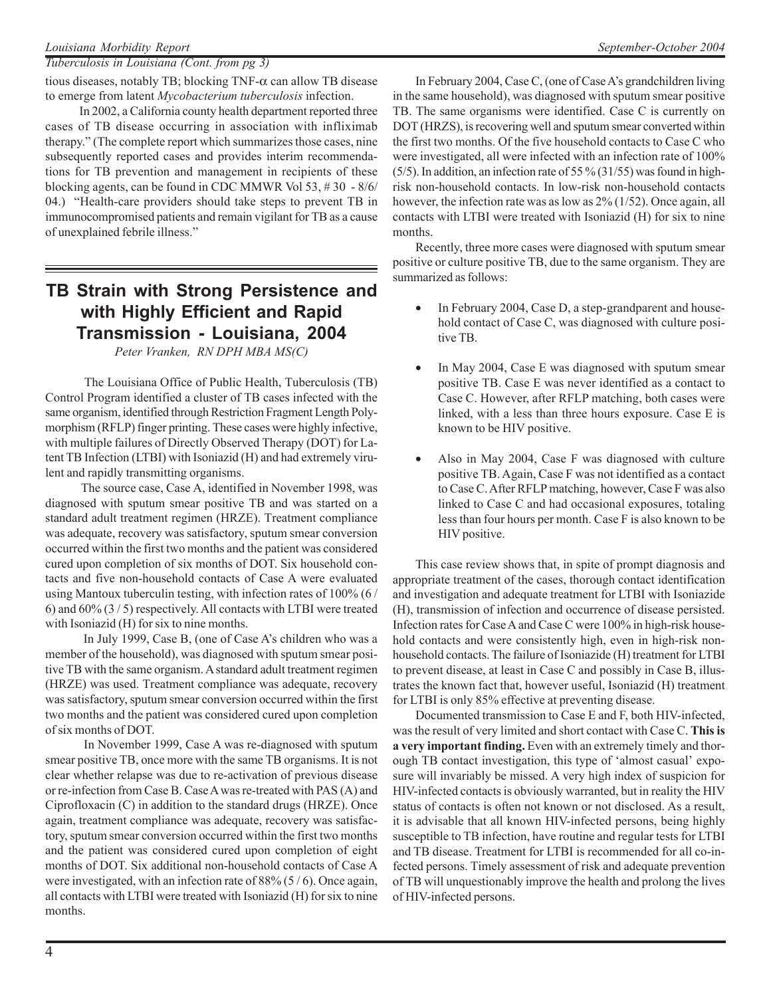### *Tuberculosis in Louisiana (Cont. from pg 3)*

tious diseases, notably TB; blocking  $TNF-\alpha$  can allow TB disease to emerge from latent *Mycobacterium tuberculosis* infection.

 In 2002, a California county health department reported three cases of TB disease occurring in association with infliximab therapy." (The complete report which summarizes those cases, nine subsequently reported cases and provides interim recommendations for TB prevention and management in recipients of these blocking agents, can be found in CDC MMWR Vol 53, # 30 - 8/6/ 04.) "Health-care providers should take steps to prevent TB in immunocompromised patients and remain vigilant for TB as a cause of unexplained febrile illness."

### **TB Strain with Strong Persistence and with Highly Efficient and Rapid Transmission - Louisiana, 2004**

*Peter Vranken, RN DPH MBA MS(C)*

 The Louisiana Office of Public Health, Tuberculosis (TB) Control Program identified a cluster of TB cases infected with the same organism, identified through Restriction Fragment Length Polymorphism (RFLP) finger printing. These cases were highly infective, with multiple failures of Directly Observed Therapy (DOT) for Latent TB Infection (LTBI) with Isoniazid (H) and had extremely virulent and rapidly transmitting organisms.

 The source case, Case A, identified in November 1998, was diagnosed with sputum smear positive TB and was started on a standard adult treatment regimen (HRZE). Treatment compliance was adequate, recovery was satisfactory, sputum smear conversion occurred within the first two months and the patient was considered cured upon completion of six months of DOT. Six household contacts and five non-household contacts of Case A were evaluated using Mantoux tuberculin testing, with infection rates of 100% (6 / 6) and 60% (3 / 5) respectively. All contacts with LTBI were treated with Isoniazid (H) for six to nine months.

 In July 1999, Case B, (one of Case A's children who was a member of the household), was diagnosed with sputum smear positive TB with the same organism. A standard adult treatment regimen (HRZE) was used. Treatment compliance was adequate, recovery was satisfactory, sputum smear conversion occurred within the first two months and the patient was considered cured upon completion of six months of DOT.

 In November 1999, Case A was re-diagnosed with sputum smear positive TB, once more with the same TB organisms. It is not clear whether relapse was due to re-activation of previous disease or re-infection from Case B. Case A was re-treated with PAS (A) and Ciprofloxacin (C) in addition to the standard drugs (HRZE). Once again, treatment compliance was adequate, recovery was satisfactory, sputum smear conversion occurred within the first two months and the patient was considered cured upon completion of eight months of DOT. Six additional non-household contacts of Case A were investigated, with an infection rate of 88% (5 / 6). Once again, all contacts with LTBI were treated with Isoniazid (H) for six to nine months.

In February 2004, Case C, (one of Case A's grandchildren living in the same household), was diagnosed with sputum smear positive TB. The same organisms were identified. Case C is currently on DOT (HRZS), is recovering well and sputum smear converted within the first two months. Of the five household contacts to Case C who were investigated, all were infected with an infection rate of 100% (5/5). In addition, an infection rate of 55 % (31/55) was found in highrisk non-household contacts. In low-risk non-household contacts however, the infection rate was as low as 2% (1/52). Once again, all contacts with LTBI were treated with Isoniazid (H) for six to nine months.

Recently, three more cases were diagnosed with sputum smear positive or culture positive TB, due to the same organism. They are summarized as follows:

- In February 2004, Case D, a step-grandparent and household contact of Case C, was diagnosed with culture positive TB.
- In May 2004, Case E was diagnosed with sputum smear positive TB. Case E was never identified as a contact to Case C. However, after RFLP matching, both cases were linked, with a less than three hours exposure. Case E is known to be HIV positive.
- Also in May 2004, Case F was diagnosed with culture positive TB. Again, Case F was not identified as a contact to Case C. After RFLP matching, however, Case F was also linked to Case C and had occasional exposures, totaling less than four hours per month. Case F is also known to be HIV positive.

This case review shows that, in spite of prompt diagnosis and appropriate treatment of the cases, thorough contact identification and investigation and adequate treatment for LTBI with Isoniazide (H), transmission of infection and occurrence of disease persisted. Infection rates for Case A and Case C were 100% in high-risk household contacts and were consistently high, even in high-risk nonhousehold contacts. The failure of Isoniazide (H) treatment for LTBI to prevent disease, at least in Case C and possibly in Case B, illustrates the known fact that, however useful, Isoniazid (H) treatment for LTBI is only 85% effective at preventing disease.

Documented transmission to Case E and F, both HIV-infected, was the result of very limited and short contact with Case C. **This is a very important finding.** Even with an extremely timely and thorough TB contact investigation, this type of 'almost casual' exposure will invariably be missed. A very high index of suspicion for HIV-infected contacts is obviously warranted, but in reality the HIV status of contacts is often not known or not disclosed. As a result, it is advisable that all known HIV-infected persons, being highly susceptible to TB infection, have routine and regular tests for LTBI and TB disease. Treatment for LTBI is recommended for all co-infected persons. Timely assessment of risk and adequate prevention of TB will unquestionably improve the health and prolong the lives of HIV-infected persons.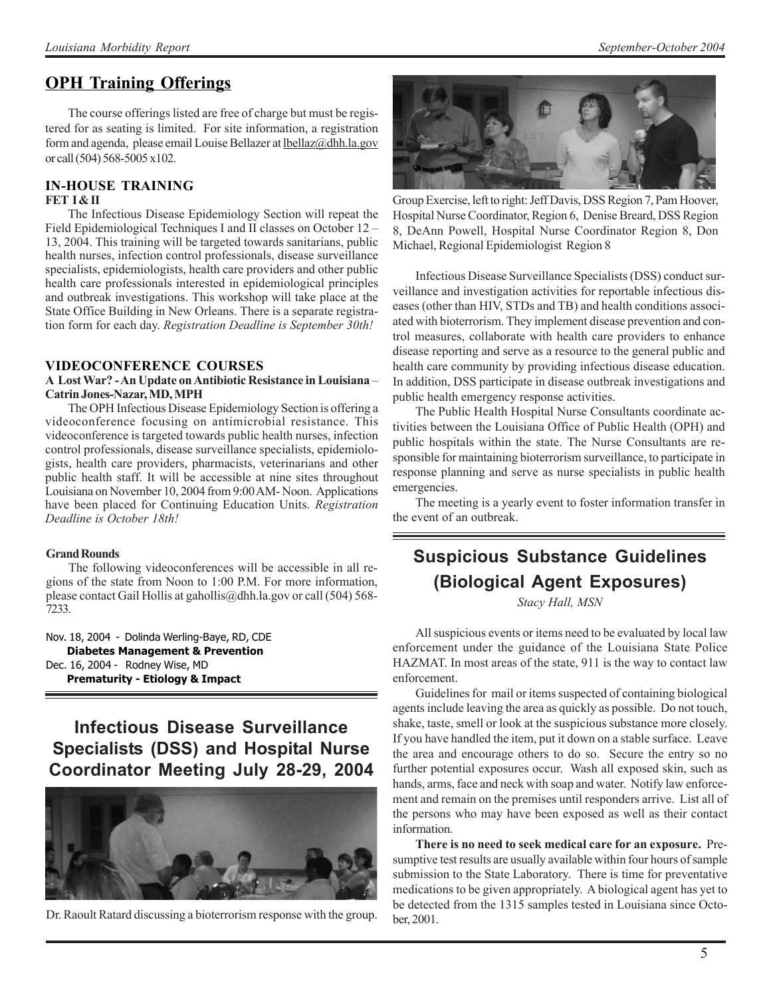### **OPH Training Offerings**

The course offerings listed are free of charge but must be registered for as seating is limited. For site information, a registration form and agenda, please email Louise Bellazer at lbellaz@dhh.la.gov or call (504) 568-5005 x102.

## **IN-HOUSE TRAINING**

### **FET I & II**

The Infectious Disease Epidemiology Section will repeat the Field Epidemiological Techniques I and II classes on October 12 – 13, 2004. This training will be targeted towards sanitarians, public health nurses, infection control professionals, disease surveillance specialists, epidemiologists, health care providers and other public health care professionals interested in epidemiological principles and outbreak investigations. This workshop will take place at the State Office Building in New Orleans. There is a separate registration form for each day. *Registration Deadline is September 30th!*

### **VIDEOCONFERENCE COURSES**

### **A Lost War? - An Update on Antibiotic Resistance in Louisiana** – **Catrin Jones-Nazar, MD, MPH**

The OPH Infectious Disease Epidemiology Section is offering a videoconference focusing on antimicrobial resistance. This videoconference is targeted towards public health nurses, infection control professionals, disease surveillance specialists, epidemiologists, health care providers, pharmacists, veterinarians and other public health staff. It will be accessible at nine sites throughout Louisiana on November 10, 2004 from 9:00 AM- Noon. Applications have been placed for Continuing Education Units. *Registration Deadline is October 18th!*

#### **Grand Rounds**

The following videoconferences will be accessible in all regions of the state from Noon to 1:00 P.M. For more information, please contact Gail Hollis at gahollis@dhh.la.gov or call (504) 568- 7233.

Nov. 18, 2004 - Dolinda Werling-Baye, RD, CDE **Diabetes Management & Prevention** Dec. 16, 2004 - Rodney Wise, MD **Prematurity - Etiology & Impact**

**Infectious Disease Surveillance Specialists (DSS) and Hospital Nurse Coordinator Meeting July 28-29, 2004**



Dr. Raoult Ratard discussing a bioterrorism response with the group.



Group Exercise, left to right: Jeff Davis, DSS Region 7, Pam Hoover, Hospital Nurse Coordinator, Region 6, Denise Breard, DSS Region 8, DeAnn Powell, Hospital Nurse Coordinator Region 8, Don Michael, Regional Epidemiologist Region 8

Infectious Disease Surveillance Specialists (DSS) conduct surveillance and investigation activities for reportable infectious diseases (other than HIV, STDs and TB) and health conditions associated with bioterrorism. They implement disease prevention and control measures, collaborate with health care providers to enhance disease reporting and serve as a resource to the general public and health care community by providing infectious disease education. In addition, DSS participate in disease outbreak investigations and public health emergency response activities.

The Public Health Hospital Nurse Consultants coordinate activities between the Louisiana Office of Public Health (OPH) and public hospitals within the state. The Nurse Consultants are responsible for maintaining bioterrorism surveillance, to participate in response planning and serve as nurse specialists in public health emergencies.

The meeting is a yearly event to foster information transfer in the event of an outbreak.

## **Suspicious Substance Guidelines (Biological Agent Exposures)**

*Stacy Hall, MSN*

All suspicious events or items need to be evaluated by local law enforcement under the guidance of the Louisiana State Police HAZMAT. In most areas of the state, 911 is the way to contact law enforcement.

Guidelines for mail or items suspected of containing biological agents include leaving the area as quickly as possible. Do not touch, shake, taste, smell or look at the suspicious substance more closely. If you have handled the item, put it down on a stable surface. Leave the area and encourage others to do so. Secure the entry so no further potential exposures occur. Wash all exposed skin, such as hands, arms, face and neck with soap and water. Notify law enforcement and remain on the premises until responders arrive. List all of the persons who may have been exposed as well as their contact information.

**There is no need to seek medical care for an exposure.** Presumptive test results are usually available within four hours of sample submission to the State Laboratory. There is time for preventative medications to be given appropriately. A biological agent has yet to be detected from the 1315 samples tested in Louisiana since October, 2001.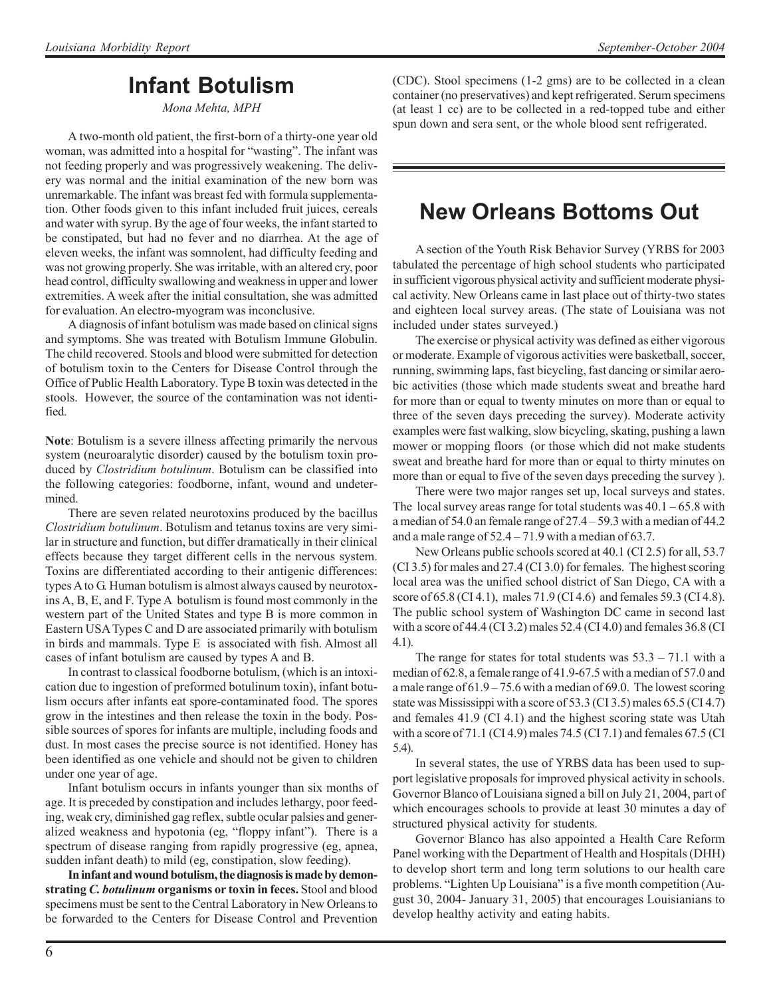## **Infant Botulism**

*Mona Mehta, MPH*

A two-month old patient, the first-born of a thirty-one year old woman, was admitted into a hospital for "wasting". The infant was not feeding properly and was progressively weakening. The delivery was normal and the initial examination of the new born was unremarkable. The infant was breast fed with formula supplementation. Other foods given to this infant included fruit juices, cereals and water with syrup. By the age of four weeks, the infant started to be constipated, but had no fever and no diarrhea. At the age of eleven weeks, the infant was somnolent, had difficulty feeding and was not growing properly. She was irritable, with an altered cry, poor head control, difficulty swallowing and weakness in upper and lower extremities. A week after the initial consultation, she was admitted for evaluation. An electro-myogram was inconclusive.

A diagnosis of infant botulism was made based on clinical signs and symptoms. She was treated with Botulism Immune Globulin. The child recovered. Stools and blood were submitted for detection of botulism toxin to the Centers for Disease Control through the Office of Public Health Laboratory. Type B toxin was detected in the stools. However, the source of the contamination was not identified.

**Note**: Botulism is a severe illness affecting primarily the nervous system (neuroaralytic disorder) caused by the botulism toxin produced by *Clostridium botulinum*. Botulism can be classified into the following categories: foodborne, infant, wound and undetermined.

There are seven related neurotoxins produced by the bacillus *Clostridium botulinum*. Botulism and tetanus toxins are very similar in structure and function, but differ dramatically in their clinical effects because they target different cells in the nervous system. Toxins are differentiated according to their antigenic differences: types A to G. Human botulism is almost always caused by neurotoxins A, B, E, and F. Type A botulism is found most commonly in the western part of the United States and type B is more common in Eastern USA Types C and D are associated primarily with botulism in birds and mammals. Type E is associated with fish. Almost all cases of infant botulism are caused by types A and B.

In contrast to classical foodborne botulism, (which is an intoxication due to ingestion of preformed botulinum toxin), infant botulism occurs after infants eat spore-contaminated food. The spores grow in the intestines and then release the toxin in the body. Possible sources of spores for infants are multiple, including foods and dust. In most cases the precise source is not identified. Honey has been identified as one vehicle and should not be given to children under one year of age.

Infant botulism occurs in infants younger than six months of age. It is preceded by constipation and includes lethargy, poor feeding, weak cry, diminished gag reflex, subtle ocular palsies and generalized weakness and hypotonia (eg, "floppy infant"). There is a spectrum of disease ranging from rapidly progressive (eg, apnea, sudden infant death) to mild (eg, constipation, slow feeding).

**In infant and wound botulism, the diagnosis is made by demonstrating** *C. botulinum* **organisms or toxin in feces.** Stool and blood specimens must be sent to the Central Laboratory in New Orleans to be forwarded to the Centers for Disease Control and Prevention (CDC). Stool specimens (1-2 gms) are to be collected in a clean container (no preservatives) and kept refrigerated. Serum specimens (at least 1 cc) are to be collected in a red-topped tube and either spun down and sera sent, or the whole blood sent refrigerated.

## **New Orleans Bottoms Out**

A section of the Youth Risk Behavior Survey (YRBS for 2003 tabulated the percentage of high school students who participated in sufficient vigorous physical activity and sufficient moderate physical activity. New Orleans came in last place out of thirty-two states and eighteen local survey areas. (The state of Louisiana was not included under states surveyed.)

The exercise or physical activity was defined as either vigorous or moderate. Example of vigorous activities were basketball, soccer, running, swimming laps, fast bicycling, fast dancing or similar aerobic activities (those which made students sweat and breathe hard for more than or equal to twenty minutes on more than or equal to three of the seven days preceding the survey). Moderate activity examples were fast walking, slow bicycling, skating, pushing a lawn mower or mopping floors (or those which did not make students sweat and breathe hard for more than or equal to thirty minutes on more than or equal to five of the seven days preceding the survey ).

There were two major ranges set up, local surveys and states. The local survey areas range for total students was  $40.1 - 65.8$  with a median of 54.0 an female range of 27.4 – 59.3 with a median of 44.2 and a male range of 52.4 – 71.9 with a median of 63.7.

New Orleans public schools scored at 40.1 (CI 2.5) for all, 53.7 (CI 3.5) for males and 27.4 (CI 3.0) for females. The highest scoring local area was the unified school district of San Diego, CA with a score of 65.8 (CI 4.1), males 71.9 (CI 4.6) and females 59.3 (CI 4.8). The public school system of Washington DC came in second last with a score of 44.4 (CI 3.2) males 52.4 (CI 4.0) and females 36.8 (CI 4.1).

The range for states for total students was  $53.3 - 71.1$  with a median of 62.8, a female range of 41.9-67.5 with a median of 57.0 and a male range of 61.9 – 75.6 with a median of 69.0. The lowest scoring state was Mississippi with a score of 53.3 (CI 3.5) males 65.5 (CI 4.7) and females 41.9 (CI 4.1) and the highest scoring state was Utah with a score of 71.1 (CI 4.9) males 74.5 (CI 7.1) and females 67.5 (CI 5.4).

In several states, the use of YRBS data has been used to support legislative proposals for improved physical activity in schools. Governor Blanco of Louisiana signed a bill on July 21, 2004, part of which encourages schools to provide at least 30 minutes a day of structured physical activity for students.

Governor Blanco has also appointed a Health Care Reform Panel working with the Department of Health and Hospitals (DHH) to develop short term and long term solutions to our health care problems. "Lighten Up Louisiana" is a five month competition (August 30, 2004- January 31, 2005) that encourages Louisianians to develop healthy activity and eating habits.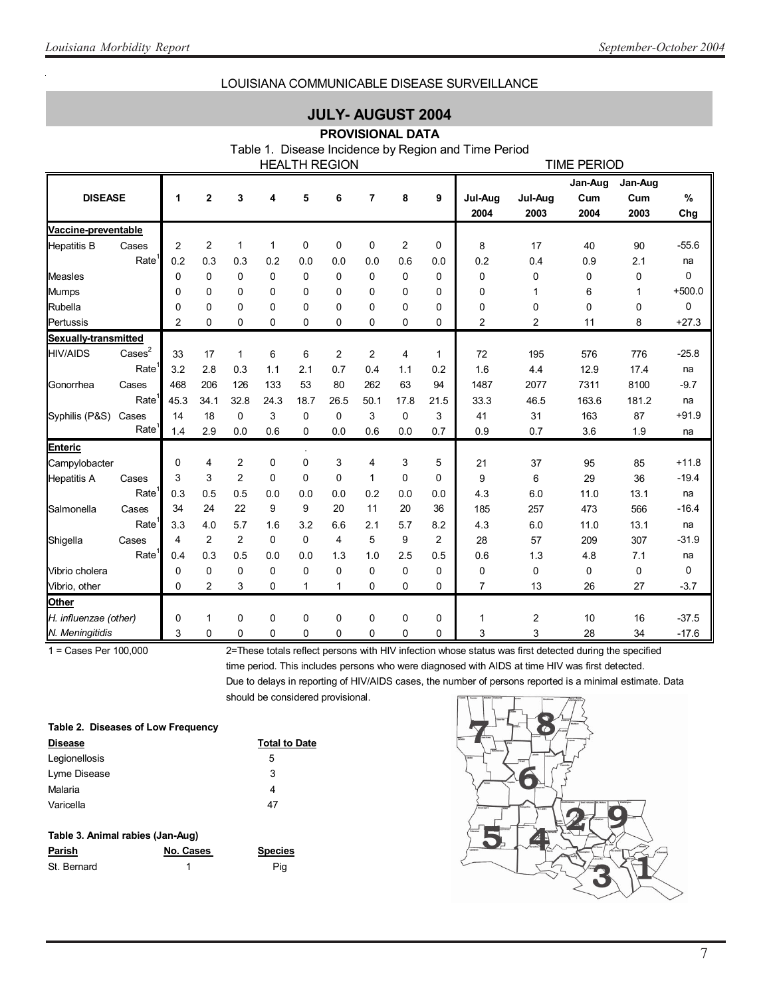### LOUISIANA COMMUNICABLE DISEASE SURVEILLANCE

### **JULY- AUGUST 2004**

### **PROVISIONAL DATA**

Table 1. Disease Incidence by Region and Time Period

|                       |                   |                |                |                |             |              | <b>HEALTH REGION</b> |                |                |              |                 |                 | <b>TIME PERIOD</b>     |                        |          |
|-----------------------|-------------------|----------------|----------------|----------------|-------------|--------------|----------------------|----------------|----------------|--------------|-----------------|-----------------|------------------------|------------------------|----------|
| <b>DISEASE</b>        |                   | 1              | $\overline{2}$ | 3              | 4           | 5            | 6                    | $\overline{7}$ | 8              | 9            | Jul-Aug<br>2004 | Jul-Aug<br>2003 | Jan-Aug<br>Cum<br>2004 | Jan-Aug<br>Cum<br>2003 | %<br>Chg |
| Vaccine-preventable   |                   |                |                |                |             |              |                      |                |                |              |                 |                 |                        |                        |          |
| <b>Hepatitis B</b>    | Cases             | $\overline{2}$ | $\overline{2}$ | $\mathbf{1}$   | 1           | 0            | 0                    | 0              | $\overline{c}$ | 0            | 8               | 17              | 40                     | 90                     | $-55.6$  |
|                       | Rate <sup>1</sup> | 0.2            | 0.3            | 0.3            | 0.2         | 0.0          | 0.0                  | 0.0            | 0.6            | 0.0          | 0.2             | 0.4             | 0.9                    | 2.1                    | na       |
| <b>Measles</b>        |                   | 0              | $\mathbf 0$    | 0              | $\mathbf 0$ | 0            | 0                    | $\mathbf 0$    | 0              | 0            | 0               | 0               | 0                      | 0                      | 0        |
| <b>Mumps</b>          |                   | 0              | $\mathbf 0$    | 0              | 0           | 0            | 0                    | 0              | 0              | 0            | 0               | 1               | 6                      | 1                      | $+500.0$ |
| Rubella               |                   | 0              | $\mathbf 0$    | $\Omega$       | 0           | 0            | 0                    | 0              | 0              | 0            | 0               | 0               | 0                      | 0                      | 0        |
| Pertussis             |                   | $\overline{2}$ | 0              | 0              | 0           | 0            | 0                    | 0              | 0              | 0            | $\overline{c}$  | 2               | 11                     | 8                      | $+27.3$  |
| Sexually-transmitted  |                   |                |                |                |             |              |                      |                |                |              |                 |                 |                        |                        |          |
| <b>HIV/AIDS</b>       | $\text{Case}^2$   | 33             | 17             | $\mathbf{1}$   | 6           | 6            | $\overline{2}$       | $\overline{c}$ | 4              | $\mathbf{1}$ | 72              | 195             | 576                    | 776                    | $-25.8$  |
|                       | Rate              | 3.2            | 2.8            | 0.3            | 1.1         | 2.1          | 0.7                  | 0.4            | 1.1            | 0.2          | 1.6             | 4.4             | 12.9                   | 17.4                   | na       |
| Gonorrhea             | Cases             | 468            | 206            | 126            | 133         | 53           | 80                   | 262            | 63             | 94           | 1487            | 2077            | 7311                   | 8100                   | $-9.7$   |
|                       | Rate <sup>1</sup> | 45.3           | 34.1           | 32.8           | 24.3        | 18.7         | 26.5                 | 50.1           | 17.8           | 21.5         | 33.3            | 46.5            | 163.6                  | 181.2                  | na       |
| Syphilis (P&S)        | Cases             | 14             | 18             | $\mathbf 0$    | 3           | 0            | 0                    | 3              | 0              | 3            | 41              | 31              | 163                    | 87                     | $+91.9$  |
|                       | Rate <sup>'</sup> | 1.4            | 2.9            | 0.0            | 0.6         | 0            | 0.0                  | 0.6            | 0.0            | 0.7          | 0.9             | 0.7             | 3.6                    | 1.9                    | na       |
| <b>Enteric</b>        |                   |                |                |                |             |              |                      |                |                |              |                 |                 |                        |                        |          |
| Campylobacter         |                   | 0              | 4              | 2              | 0           | 0            | 3                    | 4              | 3              | 5            | 21              | 37              | 95                     | 85                     | $+11.8$  |
| <b>Hepatitis A</b>    | Cases             | 3              | 3              | $\overline{2}$ | $\Omega$    | 0            | 0                    | 1              | 0              | 0            | 9               | 6               | 29                     | 36                     | $-19.4$  |
|                       | Rate <sup>'</sup> | 0.3            | 0.5            | 0.5            | 0.0         | 0.0          | 0.0                  | 0.2            | 0.0            | 0.0          | 4.3             | 6.0             | 11.0                   | 13.1                   | na       |
| Salmonella            | Cases             | 34             | 24             | 22             | 9           | 9            | 20                   | 11             | 20             | 36           | 185             | 257             | 473                    | 566                    | $-16.4$  |
|                       | Rate              | 3.3            | 4.0            | 5.7            | 1.6         | 3.2          | 6.6                  | 2.1            | 5.7            | 8.2          | 4.3             | 6.0             | 11.0                   | 13.1                   | na       |
| Shigella              | Cases             | 4              | $\overline{2}$ | $\overline{2}$ | 0           | 0            | 4                    | 5              | 9              | 2            | 28              | 57              | 209                    | 307                    | $-31.9$  |
|                       | Rate <sup>1</sup> | 0.4            | 0.3            | 0.5            | 0.0         | 0.0          | 1.3                  | 1.0            | 2.5            | 0.5          | 0.6             | 1.3             | 4.8                    | 7.1                    | na       |
| Vibrio cholera        |                   | 0              | 0              | 0              | 0           | 0            | 0                    | 0              | 0              | 0            | 0               | 0               | 0                      | 0                      | 0        |
| Vibrio, other         |                   | 0              | $\overline{2}$ | 3              | $\Omega$    | $\mathbf{1}$ | $\mathbf 1$          | $\Omega$       | $\Omega$       | $\Omega$     | $\overline{7}$  | 13              | 26                     | 27                     | $-3.7$   |
| Other                 |                   |                |                |                |             |              |                      |                |                |              |                 |                 |                        |                        |          |
| H. influenzae (other) |                   | 0              | 1              | $\mathbf 0$    | 0           | 0            | 0                    | 0              | 0              | 0            | 1               | 2               | 10                     | 16                     | $-37.5$  |
| N. Meningitidis       |                   | 3              | 0              | $\Omega$       | $\Omega$    | 0            | $\Omega$             | 0              | $\Omega$       | 0            | 3               | 3               | 28                     | 34                     | $-17.6$  |

1 = Cases Per 100,000 2=These totals reflect persons with HIV infection whose status was first detected during the specified time period. This includes persons who were diagnosed with AIDS at time HIV was first detected. Due to delays in reporting of HIV/AIDS cases, the number of persons reported is a minimal estimate. Data should be considered provisional.

| Table 2. Diseases of Low Frequency |                      |  |  |  |  |
|------------------------------------|----------------------|--|--|--|--|
| <b>Disease</b>                     | <b>Total to Date</b> |  |  |  |  |
| Legionellosis                      | 5                    |  |  |  |  |
| Lyme Disease                       | 3                    |  |  |  |  |
| Malaria                            | 4                    |  |  |  |  |
| Varicella                          | 47                   |  |  |  |  |
|                                    |                      |  |  |  |  |
| Table 3, Animal rabies (Jan-Aug)   |                      |  |  |  |  |

| Table 9. Anning Tables (ban-Aug) |           |                |  |  |  |
|----------------------------------|-----------|----------------|--|--|--|
| Parish                           | No. Cases | <b>Species</b> |  |  |  |
| St. Bernard                      |           | Pia            |  |  |  |